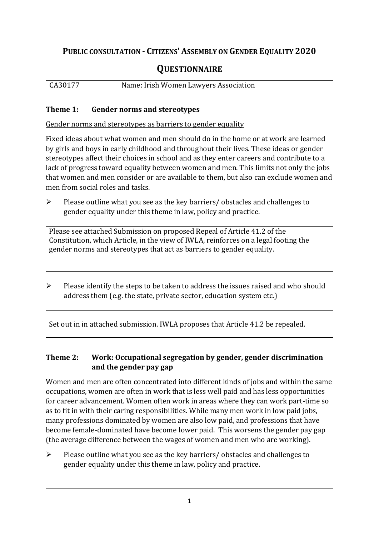#### **PUBLIC CONSULTATION - CITIZENS' ASSEMBLY ON GENDER EQUALITY 2020**

#### **QUESTIONNAIRE**

CA30177 Name: Irish Women Lawyers Association

#### **Theme 1: Gender norms and stereotypes**

Gender norms and stereotypes as barriers to gender equality

Fixed ideas about what women and men should do in the home or at work are learned by girls and boys in early childhood and throughout their lives. These ideas or gender stereotypes affect their choices in school and as they enter careers and contribute to a lack of progress toward equality between women and men. This limits not only the jobs that women and men consider or are available to them, but also can exclude women and men from social roles and tasks.

➢ Please outline what you see as the key barriers/ obstacles and challenges to gender equality under this theme in law, policy and practice.

Please see attached Submission on proposed Repeal of Article 41.2 of the Constitution, which Article, in the view of IWLA, reinforces on a legal footing the gender norms and stereotypes that act as barriers to gender equality.

➢ Please identify the steps to be taken to address the issues raised and who should address them (e.g. the state, private sector, education system etc.)

Set out in in attached submission. IWLA proposes that Article 41.2 be repealed.

#### **Theme 2: Work: Occupational segregation by gender, gender discrimination and the gender pay gap**

Women and men are often concentrated into different kinds of jobs and within the same occupations, women are often in work that is less well paid and has less opportunities for career advancement. Women often work in areas where they can work part-time so as to fit in with their caring responsibilities. While many men work in low paid jobs, many professions dominated by women are also low paid, and professions that have become female-dominated have become lower paid. This worsens the gender pay gap (the average difference between the wages of women and men who are working).

➢ Please outline what you see as the key barriers/ obstacles and challenges to gender equality under this theme in law, policy and practice.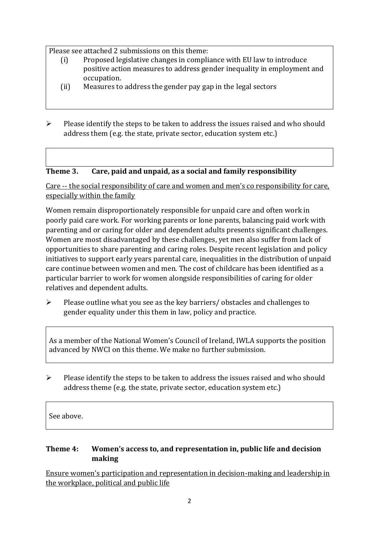Please see attached 2 submissions on this theme:

- (i) Proposed legislative changes in compliance with EU law to introduce positive action measures to address gender inequality in employment and occupation.
- (ii) Measures to address the gender pay gap in the legal sectors
- ➢ Please identify the steps to be taken to address the issues raised and who should address them (e.g. the state, private sector, education system etc.)

#### **Theme 3. Care, paid and unpaid, as a social and family responsibility**

Care -- the social responsibility of care and women and men's co responsibility for care, especially within the family

Women remain disproportionately responsible for unpaid care and often work in poorly paid care work. For working parents or [lone parents,](https://aran.library.nuigalway.ie/bitstream/handle/10379/6044/Millar_and_Crosse_Activation_Report.pdf?sequence=1&isAllowed=y) balancing paid work with parenting and or caring for older and dependent adults presents significant challenges. Women are [most disadvantaged by these challenges,](https://eige.europa.eu/gender-equality-index/game/IE/W) yet men also suffer from lack of opportunities to share parenting and caring roles. Despite recent legislation and policy initiatives to support early years parental care, [inequalities in the distribution of unpaid](https://www.ihrec.ie/app/uploads/2019/07/Caring-and-Unpaid-Work-in-Ireland_Final.pdf)  [care](https://www.ihrec.ie/app/uploads/2019/07/Caring-and-Unpaid-Work-in-Ireland_Final.pdf) continue between women and men. The cost of childcare has been identified as a particular barrier to work for women alongside responsibilities of caring for older relatives and dependent adults.

➢ Please outline what you see as the key barriers/ obstacles and challenges to gender equality under this them in law, policy and practice.

As a member of the National Women's Council of Ireland, IWLA supports the position advanced by NWCI on this theme. We make no further submission.

 $\triangleright$  Please identify the steps to be taken to address the issues raised and who should address theme (e.g. the state, private sector, education system etc.)

See above.

#### **Theme 4: Women's access to, and representation in, public life and decision making**

Ensure women's participation and representation in decision-making and leadership in the workplace, political and public life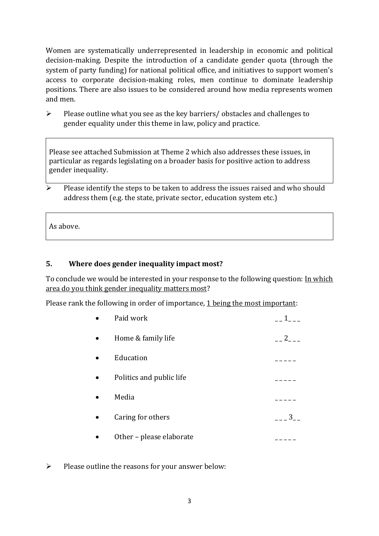Women are systematically underrepresented in leadership in [economic](https://eige.europa.eu/gender-equality-index/2019/compare-countries/power/2/bar) and [political](https://eige.europa.eu/gender-equality-index/2019/compare-countries/power/1/bar)  [decision-](https://eige.europa.eu/gender-equality-index/2019/compare-countries/power/1/bar)making. Despite the introduction of a candidate gender quota (through the system of party funding) for national political office, and [initiatives](https://betterbalance.ie/) to support women's access to corporate decision-making roles, men continue to dominate leadership positions. There are also issues to be considered around how media represents women and men.

➢ Please outline what you see as the key barriers/ obstacles and challenges to gender equality under this theme in law, policy and practice.

Please see attached Submission at Theme 2 which also addresses these issues, in particular as regards legislating on a broader basis for positive action to address gender inequality.

➢ Please identify the steps to be taken to address the issues raised and who should address them (e.g. the state, private sector, education system etc.)

As above.

#### **5. Where does gender inequality impact most?**

To conclude we would be interested in your response to the following question: In which area do you think gender inequality matters most?

Please rank the following in order of importance, 1 being the most important:

| Paid work                | $1 \quad$ |
|--------------------------|-----------|
| Home & family life       | 2         |
| Education                |           |
| Politics and public life |           |
| Media                    |           |
| Caring for others        | $3_{-}$   |
| Other - please elaborate |           |

 $\triangleright$  Please outline the reasons for your answer below: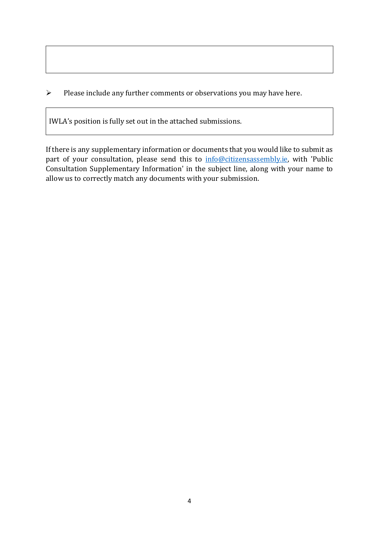➢ Please include any further comments or observations you may have here.

IWLA's position is fully set out in the attached submissions.

If there is any supplementary information or documents that you would like to submit as part of your consultation, please send this to [info@citizensassembly.ie,](mailto:info@citizensassembly.ie) with 'Public Consultation Supplementary Information' in the subject line, along with your name to allow us to correctly match any documents with your submission.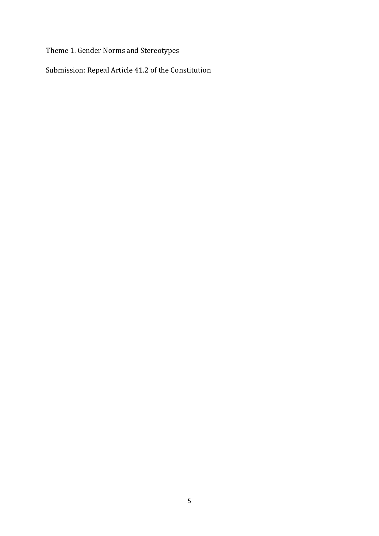Theme 1. Gender Norms and Stereotypes

Submission: Repeal Article 41.2 of the Constitution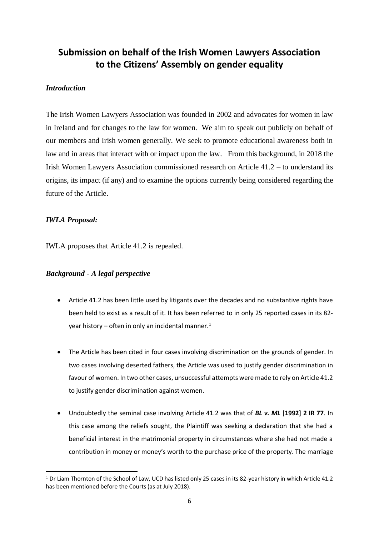#### **Submission on behalf of the Irish Women Lawyers Association to the Citizens' Assembly on gender equality**

#### *Introduction*

The Irish Women Lawyers Association was founded in 2002 and advocates for women in law in Ireland and for changes to the law for women. We aim to speak out publicly on behalf of our members and Irish women generally. We seek to promote educational awareness both in law and in areas that interact with or impact upon the law. From this background, in 2018 the Irish Women Lawyers Association commissioned research on Article 41.2 – to understand its origins, its impact (if any) and to examine the options currently being considered regarding the future of the Article.

#### *IWLA Proposal:*

IWLA proposes that Article 41.2 is repealed.

#### *Background - A legal perspective*

- Article 41.2 has been little used by litigants over the decades and no substantive rights have been held to exist as a result of it. It has been referred to in only 25 reported cases in its 82 year history – often in only an incidental manner.<sup>1</sup>
- The Article has been cited in four cases involving discrimination on the grounds of gender. In two cases involving deserted fathers, the Article was used to justify gender discrimination in favour of women. In two other cases, unsuccessful attempts were made to rely on Article 41.2 to justify gender discrimination against women.
- Undoubtedly the seminal case involving Article 41.2 was that of *BL v. ML* **[1992] 2 IR 77**. In this case among the reliefs sought, the Plaintiff was seeking a declaration that she had a beneficial interest in the matrimonial property in circumstances where she had not made a contribution in money or money's worth to the purchase price of the property. The marriage

**<sup>.</sup>**  $1$  Dr Liam Thornton of the School of Law, UCD has listed only 25 cases in its 82-year history in which Article 41.2 has been mentioned before the Courts (as at July 2018).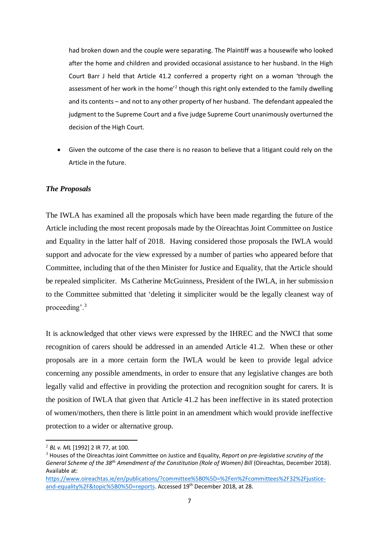had broken down and the couple were separating. The Plaintiff was a housewife who looked after the home and children and provided occasional assistance to her husband. In the High Court Barr J held that Article 41.2 conferred a property right on a woman 'through the assessment of her work in the home<sup>'2</sup> though this right only extended to the family dwelling and its contents – and not to any other property of her husband. The defendant appealed the judgment to the Supreme Court and a five judge Supreme Court unanimously overturned the decision of the High Court.

• Given the outcome of the case there is no reason to believe that a litigant could rely on the Article in the future.

#### *The Proposals*

The IWLA has examined all the proposals which have been made regarding the future of the Article including the most recent proposals made by the Oireachtas Joint Committee on Justice and Equality in the latter half of 2018. Having considered those proposals the IWLA would support and advocate for the view expressed by a number of parties who appeared before that Committee, including that of the then Minister for Justice and Equality, that the Article should be repealed simpliciter. Ms Catherine McGuinness, President of the IWLA, in her submission to the Committee submitted that 'deleting it simpliciter would be the legally cleanest way of proceeding'.<sup>3</sup>

It is acknowledged that other views were expressed by the IHREC and the NWCI that some recognition of carers should be addressed in an amended Article 41.2. When these or other proposals are in a more certain form the IWLA would be keen to provide legal advice concerning any possible amendments, in order to ensure that any legislative changes are both legally valid and effective in providing the protection and recognition sought for carers. It is the position of IWLA that given that Article 41.2 has been ineffective in its stated protection of women/mothers, then there is little point in an amendment which would provide ineffective protection to a wider or alternative group.

**.** 

<sup>2</sup> *BL v. ML* [1992] 2 IR 77, at 100.

<sup>3</sup> Houses of the Oireachtas Joint Committee on Justice and Equality, *Report on pre-legislative scrutiny of the General Scheme of the 38th Amendment of the Constitution (Role of Women) Bill* (Oireachtas, December 2018). Available at:

[https://www.oireachtas.ie/en/publications/?committee%5B0%5D=%2Fen%2Fcommittees%2F32%2Fjustice](https://www.oireachtas.ie/en/publications/?committee%5B0%5D=%2Fen%2Fcommittees%2F32%2Fjustice-and-equality%2F&topic%5B0%5D=reports)[and-equality%2F&topic%5B0%5D=reports.](https://www.oireachtas.ie/en/publications/?committee%5B0%5D=%2Fen%2Fcommittees%2F32%2Fjustice-and-equality%2F&topic%5B0%5D=reports) Accessed 19th December 2018, at 28.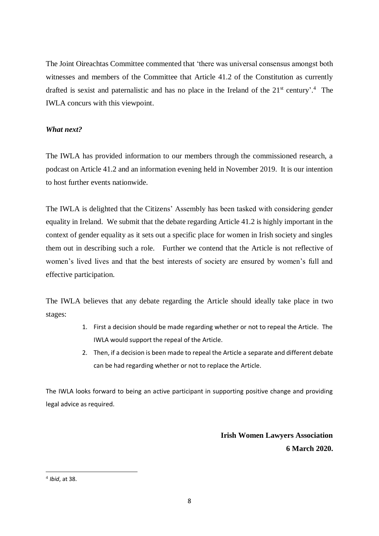The Joint Oireachtas Committee commented that 'there was universal consensus amongst both witnesses and members of the Committee that Article 41.2 of the Constitution as currently drafted is sexist and paternalistic and has no place in the Ireland of the  $21<sup>st</sup>$  century'.<sup>4</sup> The IWLA concurs with this viewpoint.

#### *What next?*

The IWLA has provided information to our members through the commissioned research, a podcast on Article 41.2 and an information evening held in November 2019. It is our intention to host further events nationwide.

The IWLA is delighted that the Citizens' Assembly has been tasked with considering gender equality in Ireland. We submit that the debate regarding Article 41.2 is highly important in the context of gender equality as it sets out a specific place for women in Irish society and singles them out in describing such a role. Further we contend that the Article is not reflective of women's lived lives and that the best interests of society are ensured by women's full and effective participation.

The IWLA believes that any debate regarding the Article should ideally take place in two stages:

- 1. First a decision should be made regarding whether or not to repeal the Article. The IWLA would support the repeal of the Article.
- 2. Then, if a decision is been made to repeal the Article a separate and different debate can be had regarding whether or not to replace the Article.

The IWLA looks forward to being an active participant in supporting positive change and providing legal advice as required.

> **Irish Women Lawyers Association 6 March 2020.**

**<sup>.</sup>** 4 *Ibid*, at 38.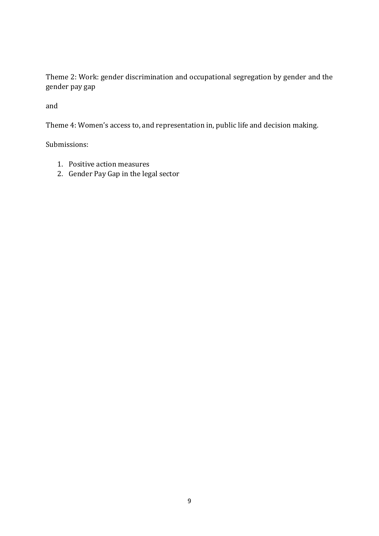Theme 2: Work: gender discrimination and occupational segregation by gender and the gender pay gap

and

Theme 4: Women's access to, and representation in, public life and decision making.

Submissions:

- 1. Positive action measures
- 2. Gender Pay Gap in the legal sector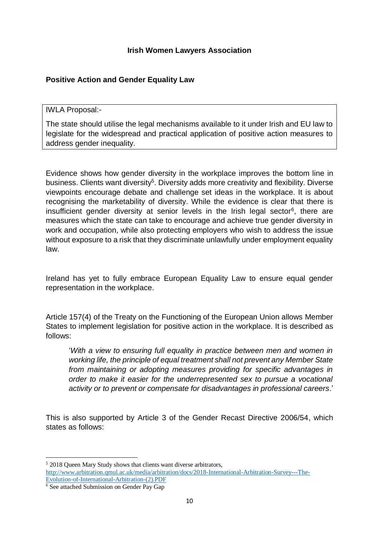#### **Irish Women Lawyers Association**

#### **Positive Action and Gender Equality Law**

IWLA Proposal:-

The state should utilise the legal mechanisms available to it under Irish and EU law to legislate for the widespread and practical application of positive action measures to address gender inequality.

Evidence shows how gender diversity in the workplace improves the bottom line in business. Clients want diversity<sup>5</sup>. Diversity adds more creativity and flexibility. Diverse viewpoints encourage debate and challenge set ideas in the workplace. It is about recognising the marketability of diversity. While the evidence is clear that there is insufficient gender diversity at senior levels in the Irish legal sector<sup>6</sup>, there are measures which the state can take to encourage and achieve true gender diversity in work and occupation, while also protecting employers who wish to address the issue without exposure to a risk that they discriminate unlawfully under employment equality law.

Ireland has yet to fully embrace European Equality Law to ensure equal gender representation in the workplace.

Article 157(4) of the Treaty on the Functioning of the European Union allows Member States to implement legislation for positive action in the workplace. It is described as follows:

'*With a view to ensuring full equality in practice between men and women in working life, the principle of equal treatment shall not prevent any Member State from maintaining or adopting measures providing for specific advantages in order to make it easier for the underrepresented sex to pursue a vocational activity or to prevent or compensate for disadvantages in professional careers*.'

This is also supported by Article 3 of the Gender Recast Directive 2006/54, which states as follows:

<sup>&</sup>lt;sup>5</sup> 2018 Oueen Mary Study shows that clients want diverse arbitrators, [http://www.arbitration.qmul.ac.uk/media/arbitration/docs/2018-International-Arbitration-Survey---The-](http://www.arbitration.qmul.ac.uk/media/arbitration/docs/2018-International-Arbitration-Survey---The-Evolution-of-International-Arbitration-(2).PDF)[Evolution-of-International-Arbitration-\(2\).PDF](http://www.arbitration.qmul.ac.uk/media/arbitration/docs/2018-International-Arbitration-Survey---The-Evolution-of-International-Arbitration-(2).PDF)

 $\frac{6}{6}$  See attached Submission on Gender Pay Gap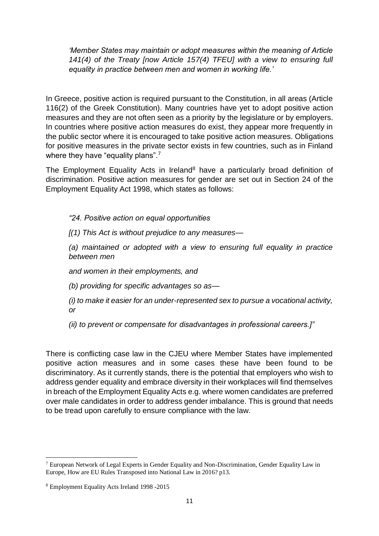*'Member States may maintain or adopt measures within the meaning of Article 141(4) of the Treaty [now Article 157(4) TFEU] with a view to ensuring full equality in practice between men and women in working life.'*

In Greece, positive action is required pursuant to the Constitution, in all areas (Article 116(2) of the Greek Constitution). Many countries have yet to adopt positive action measures and they are not often seen as a priority by the legislature or by employers. In countries where positive action measures do exist, they appear more frequently in the public sector where it is encouraged to take positive action measures. Obligations for positive measures in the private sector exists in few countries, such as in Finland where they have "equality plans".<sup>7</sup>

The Employment Equality Acts in Ireland<sup>8</sup> have a particularly broad definition of discrimination. Positive action measures for gender are set out in Section 24 of the Employment Equality Act 1998, which states as follows:

*"24. Positive action on equal opportunities*

*[(1) This Act is without prejudice to any measures—*

*(a) maintained or adopted with a view to ensuring full equality in practice between men*

*and women in their employments, and*

*(b) providing for specific advantages so as—*

*(i) to make it easier for an under-represented sex to pursue a vocational activity, or*

*(ii) to prevent or compensate for disadvantages in professional careers.]"*

There is conflicting case law in the CJEU where Member States have implemented positive action measures and in some cases these have been found to be discriminatory. As it currently stands, there is the potential that employers who wish to address gender equality and embrace diversity in their workplaces will find themselves in breach of the Employment Equality Acts e.g. where women candidates are preferred over male candidates in order to address gender imbalance. This is ground that needs to be tread upon carefully to ensure compliance with the law.

<sup>7</sup> European Network of Legal Experts in Gender Equality and Non-Discrimination, Gender Equality Law in Europe, How are EU Rules Transposed into National Law in 2016? p13.

<sup>8</sup> Employment Equality Acts Ireland 1998 -2015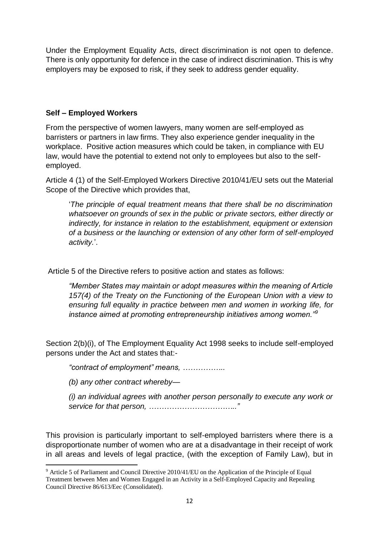Under the Employment Equality Acts, direct discrimination is not open to defence. There is only opportunity for defence in the case of indirect discrimination. This is why employers may be exposed to risk, if they seek to address gender equality.

#### **Self – Employed Workers**

From the perspective of women lawyers, many women are self-employed as barristers or partners in law firms. They also experience gender inequality in the workplace. Positive action measures which could be taken, in compliance with EU law, would have the potential to extend not only to employees but also to the selfemployed.

Article 4 (1) of the Self-Employed Workers Directive 2010/41/EU sets out the Material Scope of the Directive which provides that,

'*The principle of equal treatment means that there shall be no discrimination whatsoever on grounds of sex in the public or private sectors, either directly or indirectly, for instance in relation to the establishment, equipment or extension of a business or the launching or extension of any other form of self-employed activity.*'.

Article 5 of the Directive refers to positive action and states as follows:

*"Member States may maintain or adopt measures within the meaning of Article 157(4) of the Treaty on the Functioning of the European Union with a view to ensuring full equality in practice between men and women in working life, for instance aimed at promoting entrepreneurship initiatives among women."<sup>9</sup>*

Section 2(b)(i), of The Employment Equality Act 1998 seeks to include self-employed persons under the Act and states that:-

*"contract of employment" means, ……………..*

*(b) any other contract whereby—*

1

*(i) an individual agrees with another person personally to execute any work or service for that person, …………………………….."*

This provision is particularly important to self-employed barristers where there is a disproportionate number of women who are at a disadvantage in their receipt of work in all areas and levels of legal practice, (with the exception of Family Law), but in

<sup>9</sup> Article 5 of Parliament and Council Directive 2010/41/EU on the Application of the Principle of Equal Treatment between Men and Women Engaged in an Activity in a Self-Employed Capacity and Repealing Council Directive 86/613/Eec (Consolidated).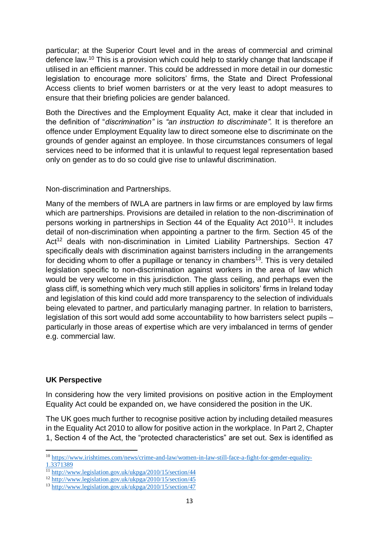particular; at the Superior Court level and in the areas of commercial and criminal defence law.<sup>10</sup> This is a provision which could help to starkly change that landscape if utilised in an efficient manner. This could be addressed in more detail in our domestic legislation to encourage more solicitors' firms, the State and Direct Professional Access clients to brief women barristers or at the very least to adopt measures to ensure that their briefing policies are gender balanced.

Both the Directives and the Employment Equality Act, make it clear that included in the definition of "*discrimination"* is *"an instruction to discriminate".* It is therefore an offence under Employment Equality law to direct someone else to discriminate on the grounds of gender against an employee. In those circumstances consumers of legal services need to be informed that it is unlawful to request legal representation based only on gender as to do so could give rise to unlawful discrimination.

Non-discrimination and Partnerships.

Many of the members of IWLA are partners in law firms or are employed by law firms which are partnerships. Provisions are detailed in relation to the non-discrimination of persons working in partnerships in Section 44 of the Equality Act 2010<sup>11</sup>. It includes detail of non-discrimination when appointing a partner to the firm. Section 45 of the Act<sup>12</sup> deals with non-discrimination in Limited Liability Partnerships. Section 47 specifically deals with discrimination against barristers including in the arrangements for deciding whom to offer a pupillage or tenancy in chambers<sup>13</sup>. This is very detailed legislation specific to non-discrimination against workers in the area of law which would be very welcome in this jurisdiction. The glass ceiling, and perhaps even the glass cliff, is something which very much still applies in solicitors' firms in Ireland today and legislation of this kind could add more transparency to the selection of individuals being elevated to partner, and particularly managing partner. In relation to barristers, legislation of this sort would add some accountability to how barristers select pupils – particularly in those areas of expertise which are very imbalanced in terms of gender e.g. commercial law.

#### **UK Perspective**

-

In considering how the very limited provisions on positive action in the Employment Equality Act could be expanded on, we have considered the position in the UK.

The UK goes much further to recognise positive action by including detailed measures in the Equality Act 2010 to allow for positive action in the workplace. In Part 2, Chapter 1, Section 4 of the Act, the "protected characteristics" are set out. Sex is identified as

<sup>&</sup>lt;sup>10</sup> [https://www.irishtimes.com/news/crime-and-law/women-in-law-still-face-a-fight-for-gender-equality-](https://www.irishtimes.com/news/crime-and-law/women-in-law-still-face-a-fight-for-gender-equality-1.3371389)[1.3371389](https://www.irishtimes.com/news/crime-and-law/women-in-law-still-face-a-fight-for-gender-equality-1.3371389)

<sup>&</sup>lt;sup>113</sup><http://www.legislation.gov.uk/ukpga/2010/15/section/44>

<sup>12</sup> <http://www.legislation.gov.uk/ukpga/2010/15/section/45>

<sup>13</sup> <http://www.legislation.gov.uk/ukpga/2010/15/section/47>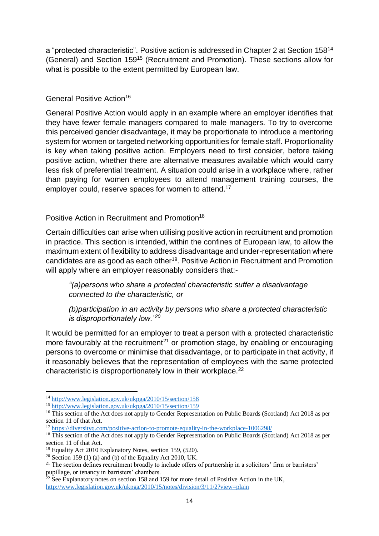a "protected characteristic". Positive action is addressed in Chapter 2 at Section 158<sup>14</sup> (General) and Section 159<sup>15</sup> (Recruitment and Promotion). These sections allow for what is possible to the extent permitted by European law.

#### General Positive Action<sup>16</sup>

General Positive Action would apply in an example where an employer identifies that they have fewer female managers compared to male managers. To try to overcome this perceived gender disadvantage, it may be proportionate to introduce a mentoring system for women or targeted networking opportunities for female staff. Proportionality is key when taking positive action. Employers need to first consider, before taking positive action, whether there are alternative measures available which would carry less risk of preferential treatment. A situation could arise in a workplace where, rather than paying for women employees to attend management training courses, the employer could, reserve spaces for women to attend.<sup>17</sup>

#### Positive Action in Recruitment and Promotion<sup>18</sup>

Certain difficulties can arise when utilising positive action in recruitment and promotion in practice. This section is intended, within the confines of European law, to allow the maximum extent of flexibility to address disadvantage and under-representation where candidates are as good as each other<sup>19</sup>. Positive Action in Recruitment and Promotion will apply where an employer reasonably considers that:-

*"(a)persons who share a protected characteristic suffer a disadvantage connected to the characteristic, or*

*(b)participation in an activity by persons who share a protected characteristic is disproportionately low."<sup>20</sup>*

It would be permitted for an employer to treat a person with a protected characteristic more favourably at the recruitment<sup>21</sup> or promotion stage, by enabling or encouraging persons to overcome or minimise that disadvantage, or to participate in that activity, if it reasonably believes that the representation of employees with the same protected characteristic is disproportionately low in their workplace.<sup>22</sup>

<sup>14</sup> <http://www.legislation.gov.uk/ukpga/2010/15/section/158>

<sup>15</sup> <http://www.legislation.gov.uk/ukpga/2010/15/section/159>

<sup>&</sup>lt;sup>16</sup> This section of the Act does not apply to Gender Representation on Public Boards (Scotland) Act 2018 as per section 11 of that Act.

<sup>17</sup> <https://diversityq.com/positive-action-to-promote-equality-in-the-workplace-1006298/>

<sup>&</sup>lt;sup>18</sup> This section of the Act does not apply to Gender Representation on Public Boards (Scotland) Act 2018 as per section 11 of that Act.

<sup>&</sup>lt;sup>19</sup> Equality Act 2010 Explanatory Notes, section 159, (520).

<sup>&</sup>lt;sup>20</sup> Section 159 (1) (a) and (b) of the Equality Act 2010, UK.

 $21$  The section defines recruitment broadly to include offers of partnership in a solicitors' firm or barristers' pupillage, or tenancy in barristers' chambers.

 $22$  See Explanatory notes on section 158 and 159 for more detail of Positive Action in the UK, <http://www.legislation.gov.uk/ukpga/2010/15/notes/division/3/11/2?view=plain>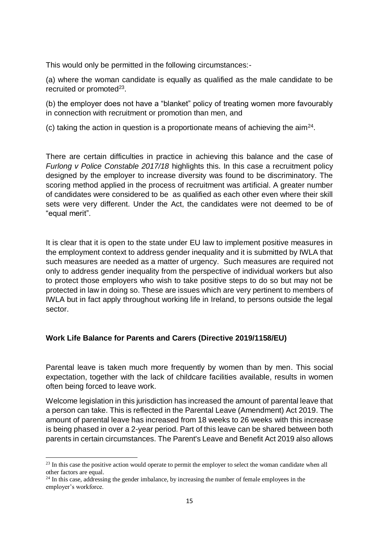This would only be permitted in the following circumstances:-

(a) where the woman candidate is equally as qualified as the male candidate to be recruited or promoted $^{23}$ .

(b) the employer does not have a "blanket" policy of treating women more favourably in connection with recruitment or promotion than men, and

(c) taking the action in question is a proportionate means of achieving the aim<sup>24</sup>.

There are certain difficulties in practice in achieving this balance and the case of *Furlong v Police Constable 2017/18* highlights this. In this case a recruitment policy designed by the employer to increase diversity was found to be discriminatory. The scoring method applied in the process of recruitment was artificial. A greater number of candidates were considered to be as qualified as each other even where their skill sets were very different. Under the Act, the candidates were not deemed to be of "equal merit".

It is clear that it is open to the state under EU law to implement positive measures in the employment context to address gender inequality and it is submitted by IWLA that such measures are needed as a matter of urgency. Such measures are required not only to address gender inequality from the perspective of individual workers but also to protect those employers who wish to take positive steps to do so but may not be protected in law in doing so. These are issues which are very pertinent to members of IWLA but in fact apply throughout working life in Ireland, to persons outside the legal sector.

#### **Work Life Balance for Parents and Carers (Directive 2019/1158/EU)**

Parental leave is taken much more frequently by women than by men. This social expectation, together with the lack of childcare facilities available, results in women often being forced to leave work.

Welcome legislation in this jurisdiction has increased the amount of parental leave that a person can take. This is reflected in the Parental Leave (Amendment) Act 2019. The amount of parental leave has increased from 18 weeks to 26 weeks with this increase is being phased in over a 2-year period. Part of this leave can be shared between both parents in certain circumstances. The Parent's Leave and Benefit Act 2019 also allows

<sup>&</sup>lt;sup>23</sup> In this case the positive action would operate to permit the employer to select the woman candidate when all other factors are equal.

<sup>&</sup>lt;sup>24</sup> In this case, addressing the gender imbalance, by increasing the number of female employees in the employer's workforce.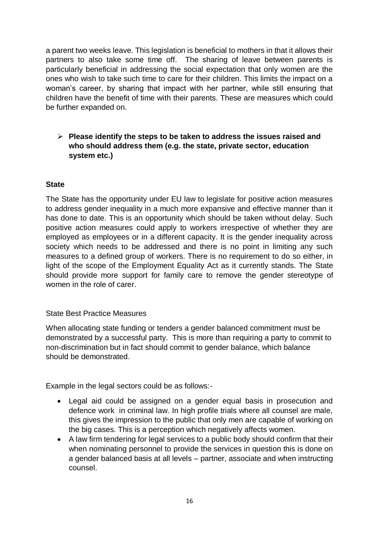a parent two weeks leave. This legislation is beneficial to mothers in that it allows their partners to also take some time off. The sharing of leave between parents is particularly beneficial in addressing the social expectation that only women are the ones who wish to take such time to care for their children. This limits the impact on a woman's career, by sharing that impact with her partner, while still ensuring that children have the benefit of time with their parents. These are measures which could be further expanded on.

#### ➢ **Please identify the steps to be taken to address the issues raised and who should address them (e.g. the state, private sector, education system etc.)**

#### **State**

The State has the opportunity under EU law to legislate for positive action measures to address gender inequality in a much more expansive and effective manner than it has done to date. This is an opportunity which should be taken without delay. Such positive action measures could apply to workers irrespective of whether they are employed as employees or in a different capacity. It is the gender inequality across society which needs to be addressed and there is no point in limiting any such measures to a defined group of workers. There is no requirement to do so either, in light of the scope of the Employment Equality Act as it currently stands. The State should provide more support for family care to remove the gender stereotype of women in the role of carer.

#### State Best Practice Measures

When allocating state funding or tenders a gender balanced commitment must be demonstrated by a successful party. This is more than requiring a party to commit to non-discrimination but in fact should commit to gender balance, which balance should be demonstrated.

Example in the legal sectors could be as follows:-

- Legal aid could be assigned on a gender equal basis in prosecution and defence work in criminal law. In high profile trials where all counsel are male, this gives the impression to the public that only men are capable of working on the big cases. This is a perception which negatively affects women.
- A law firm tendering for legal services to a public body should confirm that their when nominating personnel to provide the services in question this is done on a gender balanced basis at all levels – partner, associate and when instructing counsel.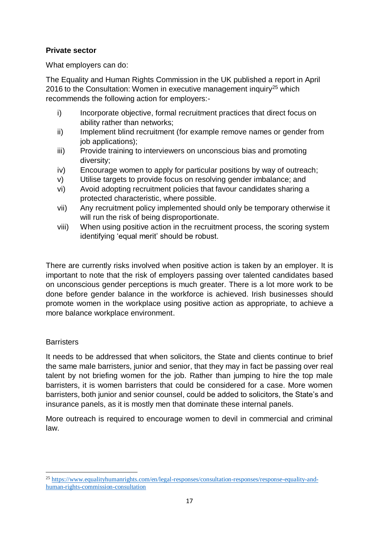#### **Private sector**

What employers can do:

The Equality and Human Rights Commission in the UK published a report in April 2016 to the Consultation: Women in executive management inquiry<sup>25</sup> which recommends the following action for employers:-

- i) Incorporate objective, formal recruitment practices that direct focus on ability rather than networks;
- ii) Implement blind recruitment (for example remove names or gender from job applications);
- iii) Provide training to interviewers on unconscious bias and promoting diversity;
- iv) Encourage women to apply for particular positions by way of outreach;
- v) Utilise targets to provide focus on resolving gender imbalance; and
- vi) Avoid adopting recruitment policies that favour candidates sharing a protected characteristic, where possible.
- vii) Any recruitment policy implemented should only be temporary otherwise it will run the risk of being disproportionate.
- viii) When using positive action in the recruitment process, the scoring system identifying 'equal merit' should be robust.

There are currently risks involved when positive action is taken by an employer. It is important to note that the risk of employers passing over talented candidates based on unconscious gender perceptions is much greater. There is a lot more work to be done before gender balance in the workforce is achieved. Irish businesses should promote women in the workplace using positive action as appropriate, to achieve a more balance workplace environment.

#### **Barristers**

**.** 

It needs to be addressed that when solicitors, the State and clients continue to brief the same male barristers, junior and senior, that they may in fact be passing over real talent by not briefing women for the job. Rather than jumping to hire the top male barristers, it is women barristers that could be considered for a case. More women barristers, both junior and senior counsel, could be added to solicitors, the State's and insurance panels, as it is mostly men that dominate these internal panels.

More outreach is required to encourage women to devil in commercial and criminal law.

<sup>25</sup> [https://www.equalityhumanrights.com/en/legal-responses/consultation-responses/response-equality-and](https://www.equalityhumanrights.com/en/legal-responses/consultation-responses/response-equality-and-human-rights-commission-consultation)[human-rights-commission-consultation](https://www.equalityhumanrights.com/en/legal-responses/consultation-responses/response-equality-and-human-rights-commission-consultation)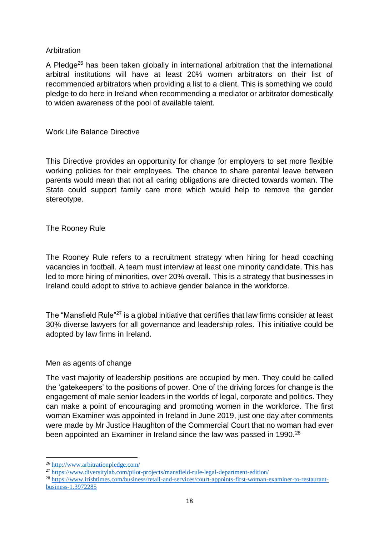#### Arbitration

A Pledge<sup>26</sup> has been taken globally in international arbitration that the international arbitral institutions will have at least 20% women arbitrators on their list of recommended arbitrators when providing a list to a client. This is something we could pledge to do here in Ireland when recommending a mediator or arbitrator domestically to widen awareness of the pool of available talent.

Work Life Balance Directive

This Directive provides an opportunity for change for employers to set more flexible working policies for their employees. The chance to share parental leave between parents would mean that not all caring obligations are directed towards woman. The State could support family care more which would help to remove the gender stereotype.

#### The Rooney Rule

The Rooney Rule refers to a recruitment strategy when hiring for head coaching vacancies in football. A team must interview at least one minority candidate. This has led to more hiring of minorities, over 20% overall. This is a strategy that businesses in Ireland could adopt to strive to achieve gender balance in the workforce.

The "Mansfield Rule"<sup>27</sup> is a global initiative that certifies that law firms consider at least 30% diverse lawyers for all governance and leadership roles. This initiative could be adopted by law firms in Ireland.

#### Men as agents of change

The vast majority of leadership positions are occupied by men. They could be called the 'gatekeepers' to the positions of power. One of the driving forces for change is the engagement of male senior leaders in the worlds of legal, corporate and politics. They can make a point of encouraging and promoting women in the workforce. The first woman Examiner was appointed in Ireland in June 2019, just one day after comments were made by Mr Justice Haughton of the Commercial Court that no woman had ever been appointed an Examiner in Ireland since the law was passed in 1990.<sup>28</sup>

<sup>26</sup> <http://www.arbitrationpledge.com/>

<sup>27</sup> <https://www.diversitylab.com/pilot-projects/mansfield-rule-legal-department-edition/>

<sup>28</sup> [https://www.irishtimes.com/business/retail-and-services/court-appoints-first-woman-examiner-to-restaurant](https://www.irishtimes.com/business/retail-and-services/court-appoints-first-woman-examiner-to-restaurant-business-1.3972285)[business-1.3972285](https://www.irishtimes.com/business/retail-and-services/court-appoints-first-woman-examiner-to-restaurant-business-1.3972285)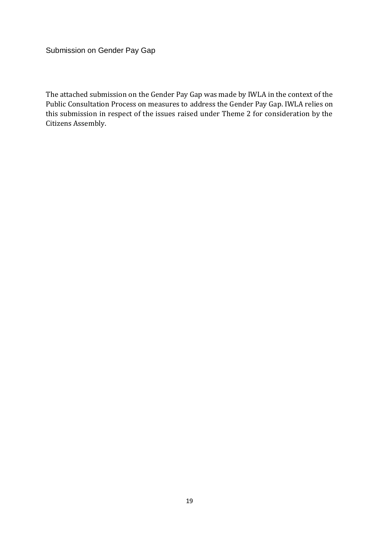Submission on Gender Pay Gap

The attached submission on the Gender Pay Gap was made by IWLA in the context of the Public Consultation Process on measures to address the Gender Pay Gap. IWLA relies on this submission in respect of the issues raised under Theme 2 for consideration by the Citizens Assembly.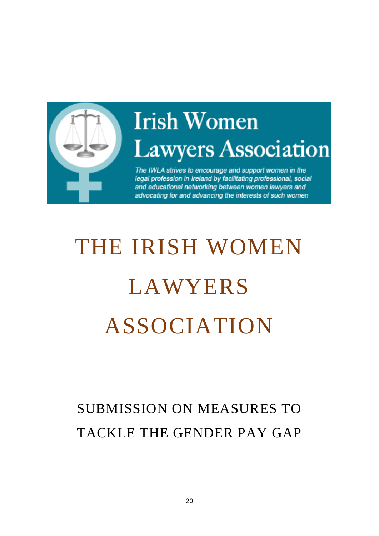

## **Irish Women Lawyers Association**

The IWLA strives to encourage and support women in the legal profession in Ireland by facilitating professional, social and educational networking between women lawyers and advocating for and advancing the interests of such women

# THE IRISH WOMEN **LAWYERS** ASSOCIATION

### SUBMISSION ON MEASURES TO TACKLE THE GENDER PAY GAP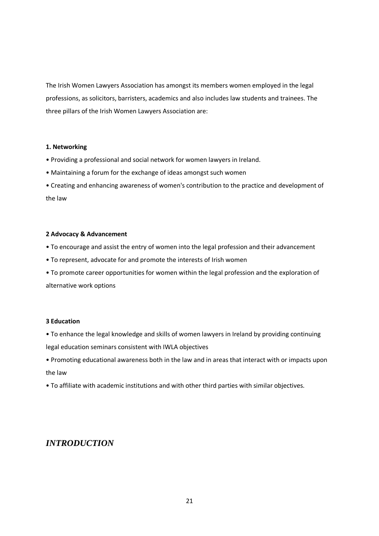The Irish Women Lawyers Association has amongst its members women employed in the legal professions, as solicitors, barristers, academics and also includes law students and trainees. The three pillars of the Irish Women Lawyers Association are:

#### **1. Networking**

- Providing a professional and social network for women lawyers in Ireland.
- Maintaining a forum for the exchange of ideas amongst such women
- Creating and enhancing awareness of women's contribution to the practice and development of the law

#### **2 Advocacy & Advancement**

- To encourage and assist the entry of women into the legal profession and their advancement
- To represent, advocate for and promote the interests of Irish women
- To promote career opportunities for women within the legal profession and the exploration of alternative work options

#### **3 Education**

- To enhance the legal knowledge and skills of women lawyers in Ireland by providing continuing legal education seminars consistent with IWLA objectives
- Promoting educational awareness both in the law and in areas that interact with or impacts upon the law
- To affiliate with academic institutions and with other third parties with similar objectives.

#### *INTRODUCTION*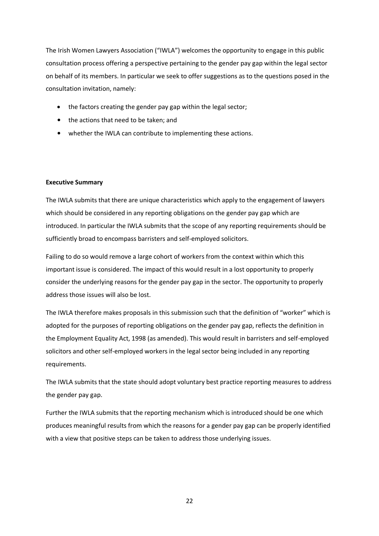The Irish Women Lawyers Association ("IWLA") welcomes the opportunity to engage in this public consultation process offering a perspective pertaining to the gender pay gap within the legal sector on behalf of its members. In particular we seek to offer suggestions as to the questions posed in the consultation invitation, namely:

- the factors creating the gender pay gap within the legal sector;
- the actions that need to be taken; and
- whether the IWLA can contribute to implementing these actions.

#### **Executive Summary**

The IWLA submits that there are unique characteristics which apply to the engagement of lawyers which should be considered in any reporting obligations on the gender pay gap which are introduced. In particular the IWLA submits that the scope of any reporting requirements should be sufficiently broad to encompass barristers and self-employed solicitors.

Failing to do so would remove a large cohort of workers from the context within which this important issue is considered. The impact of this would result in a lost opportunity to properly consider the underlying reasons for the gender pay gap in the sector. The opportunity to properly address those issues will also be lost.

The IWLA therefore makes proposals in this submission such that the definition of "worker" which is adopted for the purposes of reporting obligations on the gender pay gap, reflects the definition in the Employment Equality Act, 1998 (as amended). This would result in barristers and self-employed solicitors and other self-employed workers in the legal sector being included in any reporting requirements.

The IWLA submits that the state should adopt voluntary best practice reporting measures to address the gender pay gap.

Further the IWLA submits that the reporting mechanism which is introduced should be one which produces meaningful results from which the reasons for a gender pay gap can be properly identified with a view that positive steps can be taken to address those underlying issues.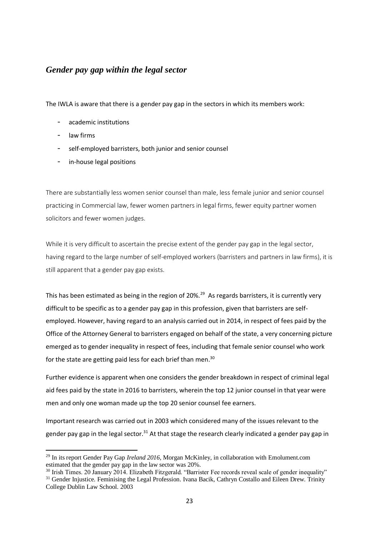#### *Gender pay gap within the legal sector*

The IWLA is aware that there is a gender pay gap in the sectors in which its members work:

- academic institutions
- law firms

-

- self-employed barristers, both junior and senior counsel
- in-house legal positions

There are substantially less women senior counsel than male, less female junior and senior counsel practicing in Commercial law, fewer women partners in legal firms, fewer equity partner women solicitors and fewer women judges.

While it is very difficult to ascertain the precise extent of the gender pay gap in the legal sector, having regard to the large number of self-employed workers (barristers and partners in law firms), it is still apparent that a gender pay gap exists.

This has been estimated as being in the region of 20%.<sup>29</sup> As regards barristers, it is currently very difficult to be specific as to a gender pay gap in this profession, given that barristers are selfemployed. However, having regard to an analysis carried out in 2014, in respect of fees paid by the Office of the Attorney General to barristers engaged on behalf of the state, a very concerning picture emerged as to gender inequality in respect of fees, including that female senior counsel who work for the state are getting paid less for each brief than men.<sup>30</sup>

Further evidence is apparent when one considers the gender breakdown in respect of criminal legal aid fees paid by the state in 2016 to barristers, wherein the top 12 junior counsel in that year were men and only one woman made up the top 20 senior counsel fee earners.

Important research was carried out in 2003 which considered many of the issues relevant to the gender pay gap in the legal sector.<sup>31</sup> At that stage the research clearly indicated a gender pay gap in

<sup>&</sup>lt;sup>29</sup> In its report Gender Pay Gap *Ireland 2016*, Morgan McKinley, in collaboration with Emolument.com estimated that the gender pay gap in the law sector was 20%.

<sup>&</sup>lt;sup>30</sup> Irish Times. 20 January 2014. Elizabeth Fitzgerald. "Barrister Fee records reveal scale of gender inequality" <sup>31</sup> Gender Injustice. Feminising the Legal Profession. Ivana Bacik, Cathryn Costallo and Eileen Drew. Trinity College Dublin Law School. 2003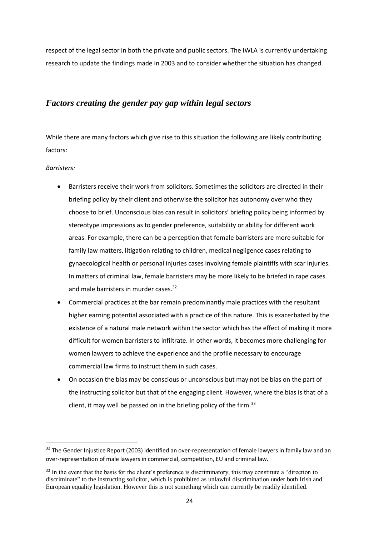respect of the legal sector in both the private and public sectors. The IWLA is currently undertaking research to update the findings made in 2003 and to consider whether the situation has changed.

#### *Factors creating the gender pay gap within legal sectors*

While there are many factors which give rise to this situation the following are likely contributing factors:

#### *Barristers:*

- Barristers receive their work from solicitors. Sometimes the solicitors are directed in their briefing policy by their client and otherwise the solicitor has autonomy over who they choose to brief. Unconscious bias can result in solicitors' briefing policy being informed by stereotype impressions as to gender preference, suitability or ability for different work areas. For example, there can be a perception that female barristers are more suitable for family law matters, litigation relating to children, medical negligence cases relating to gynaecological health or personal injuries cases involving female plaintiffs with scar injuries. In matters of criminal law, female barristers may be more likely to be briefed in rape cases and male barristers in murder cases.<sup>32</sup>
- Commercial practices at the bar remain predominantly male practices with the resultant higher earning potential associated with a practice of this nature. This is exacerbated by the existence of a natural male network within the sector which has the effect of making it more difficult for women barristers to infiltrate. In other words, it becomes more challenging for women lawyers to achieve the experience and the profile necessary to encourage commercial law firms to instruct them in such cases.
- On occasion the bias may be conscious or unconscious but may not be bias on the part of the instructing solicitor but that of the engaging client. However, where the bias is that of a client, it may well be passed on in the briefing policy of the firm.  $33$

<sup>&</sup>lt;sup>32</sup> The Gender Injustice Report (2003) identified an over-representation of female lawyers in family law and an over-representation of male lawyers in commercial, competition, EU and criminal law.

<sup>&</sup>lt;sup>33</sup> In the event that the basis for the client's preference is discriminatory, this may constitute a "direction to discriminate" to the instructing solicitor, which is prohibited as unlawful discrimination under both Irish and European equality legislation. However this is not something which can currently be readily identified.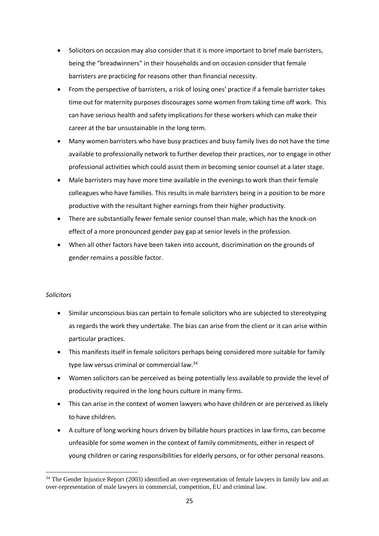- Solicitors on occasion may also consider that it is more important to brief male barristers, being the "breadwinners" in their households and on occasion consider that female barristers are practicing for reasons other than financial necessity.
- From the perspective of barristers, a risk of losing ones' practice if a female barrister takes time out for maternity purposes discourages some women from taking time off work. This can have serious health and safety implications for these workers which can make their career at the bar unsustainable in the long term.
- Many women barristers who have busy practices and busy family lives do not have the time available to professionally network to further develop their practices, nor to engage in other professional activities which could assist them in becoming senior counsel at a later stage.
- Male barristers may have more time available in the evenings to work than their female colleagues who have families. This results in male barristers being in a position to be more productive with the resultant higher earnings from their higher productivity.
- There are substantially fewer female senior counsel than male, which has the knock-on effect of a more pronounced gender pay gap at senior levels in the profession.
- When all other factors have been taken into account, discrimination on the grounds of gender remains a possible factor.

#### *Solicitors*

- Similar unconscious bias can pertain to female solicitors who are subjected to stereotyping as regards the work they undertake. The bias can arise from the client or it can arise within particular practices.
- This manifests itself in female solicitors perhaps being considered more suitable for family type law versus criminal or commercial law.<sup>34</sup>
- Women solicitors can be perceived as being potentially less available to provide the level of productivity required in the long hours culture in many firms.
- This can arise in the context of women lawyers who have children or are perceived as likely to have children.
- A culture of long working hours driven by billable hours practices in law firms, can become unfeasible for some women in the context of family commitments, either in respect of young children or caring responsibilities for elderly persons, or for other personal reasons.

**<sup>.</sup>** <sup>34</sup> The Gender Injustice Report (2003) identified an over-representation of female lawyers in family law and an over-representation of male lawyers in commercial, competition, EU and criminal law.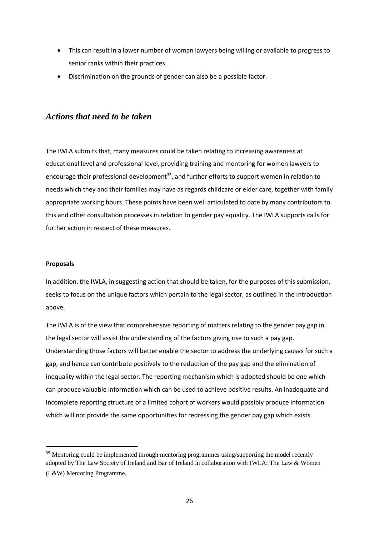- This can result in a lower number of woman lawyers being willing or available to progress to senior ranks within their practices.
- Discrimination on the grounds of gender can also be a possible factor.

#### *Actions that need to be taken*

The IWLA submits that, many measures could be taken relating to increasing awareness at educational level and professional level, providing training and mentoring for women lawyers to encourage their professional development<sup>35</sup>, and further efforts to support women in relation to needs which they and their families may have as regards childcare or elder care, together with family appropriate working hours. These points have been well articulated to date by many contributors to this and other consultation processes in relation to gender pay equality. The IWLA supports calls for further action in respect of these measures.

#### **Proposals**

**.** 

In addition, the IWLA, in suggesting action that should be taken, for the purposes of this submission, seeks to focus on the unique factors which pertain to the legal sector, as outlined in the Introduction above.

The IWLA is of the view that comprehensive reporting of matters relating to the gender pay gap in the legal sector will assist the understanding of the factors giving rise to such a pay gap. Understanding those factors will better enable the sector to address the underlying causes for such a gap, and hence can contribute positively to the reduction of the pay gap and the elimination of inequality within the legal sector. The reporting mechanism which is adopted should be one which can produce valuable information which can be used to achieve positive results. An inadequate and incomplete reporting structure of a limited cohort of workers would possibly produce information which will not provide the same opportunities for redressing the gender pay gap which exists.

<sup>&</sup>lt;sup>35</sup> Mentoring could be implemented through mentoring programmes using/supporting the model recently adopted by The Law Society of Ireland and Bar of Ireland in collaboration with IWLA: The Law & Women (L&W) Mentoring Programme.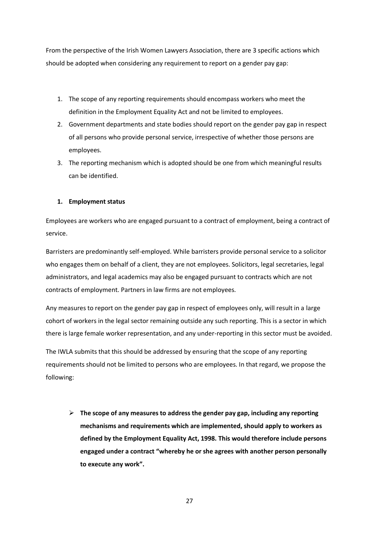From the perspective of the Irish Women Lawyers Association, there are 3 specific actions which should be adopted when considering any requirement to report on a gender pay gap:

- 1. The scope of any reporting requirements should encompass workers who meet the definition in the Employment Equality Act and not be limited to employees.
- 2. Government departments and state bodies should report on the gender pay gap in respect of all persons who provide personal service, irrespective of whether those persons are employees.
- 3. The reporting mechanism which is adopted should be one from which meaningful results can be identified.

#### **1. Employment status**

Employees are workers who are engaged pursuant to a contract of employment, being a contract of service.

Barristers are predominantly self-employed. While barristers provide personal service to a solicitor who engages them on behalf of a client, they are not employees. Solicitors, legal secretaries, legal administrators, and legal academics may also be engaged pursuant to contracts which are not contracts of employment. Partners in law firms are not employees.

Any measures to report on the gender pay gap in respect of employees only, will result in a large cohort of workers in the legal sector remaining outside any such reporting. This is a sector in which there is large female worker representation, and any under-reporting in this sector must be avoided.

The IWLA submits that this should be addressed by ensuring that the scope of any reporting requirements should not be limited to persons who are employees. In that regard, we propose the following:

➢ **The scope of any measures to address the gender pay gap, including any reporting mechanisms and requirements which are implemented, should apply to workers as defined by the Employment Equality Act, 1998. This would therefore include persons engaged under a contract "whereby he or she agrees with another person personally to execute any work".**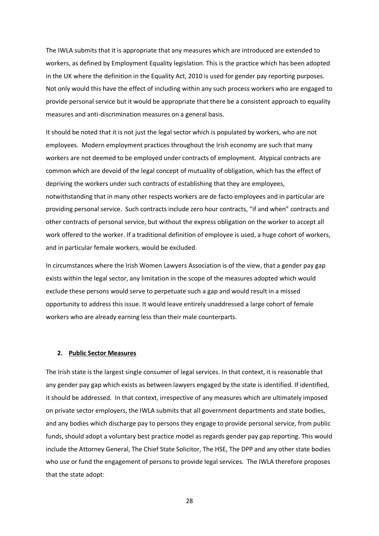The IWLA submits that it is appropriate that any measures which are introduced are extended to workers, as defined by Employment Equality legislation. This is the practice which has been adopted in the UK where the definition in the Equality Act, 2010 is used for gender pay reporting purposes. Not only would this have the effect of including within any such process workers who are engaged to provide personal service but it would be appropriate that there be a consistent approach to equality measures and anti-discrimination measures on a general basis.

It should be noted that it is not just the legal sector which is populated by workers, who are not employees. Modern employment practices throughout the Irish economy are such that many workers are not deemed to be employed under contracts of employment. Atypical contracts are common which are devoid of the legal concept of mutuality of obligation, which has the effect of depriving the workers under such contracts of establishing that they are employees, notwithstanding that in many other respects workers are de facto employees and in particular are providing personal service. Such contracts include zero hour contracts, "if and when" contracts and other contracts of personal service, but without the express obligation on the worker to accept all work offered to the worker. If a traditional definition of employee is used, a huge cohort of workers, and in particular female workers, would be excluded.

In circumstances where the Irish Women Lawyers Association is of the view, that a gender pay gap exists within the legal sector, any limitation in the scope of the measures adopted which would exclude these persons would serve to perpetuate such a gap and would result in a missed opportunity to address this issue. It would leave entirely unaddressed a large cohort of female workers who are already earning less than their male counterparts.

#### **2. Public Sector Measures**

The Irish state is the largest single consumer of legal services. In that context, it is reasonable that any gender pay gap which exists as between lawyers engaged by the state is identified. If identified, it should be addressed. In that context, irrespective of any measures which are ultimately imposed on private sector employers, the IWLA submits that all government departments and state bodies, and any bodies which discharge pay to persons they engage to provide personal service, from public funds, should adopt a voluntary best practice model as regards gender pay gap reporting. This would include the Attorney General, The Chief State Solicitor, The HSE, The DPP and any other state bodies who use or fund the engagement of persons to provide legal services. The IWLA therefore proposes that the state adopt: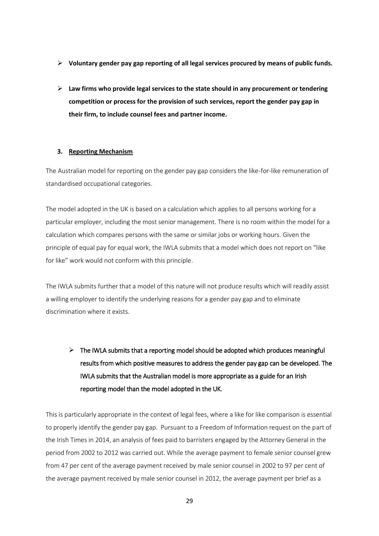- ➢ **Voluntary gender pay gap reporting of all legal services procured by means of public funds.**
- ➢ **Law firms who provide legal services to the state should in any procurement or tendering competition or process for the provision of such services, report the gender pay gap in their firm, to include counsel fees and partner income.**

#### **3. Reporting Mechanism**

The Australian model for reporting on the gender pay gap considers the like-for-like remuneration of standardised occupational categories.

The model adopted in the UK is based on a calculation which applies to all persons working for a particular employer, including the most senior management. There is no room within the model for a calculation which compares persons with the same or similar jobs or working hours. Given the principle of equal pay for equal work, the IWLA submits that a model which does not report on "like for like" work would not conform with this principle.

The IWLA submits further that a model of this nature will not produce results which will readily assist a willing employer to identify the underlying reasons for a gender pay gap and to eliminate discrimination where it exists.

 $\triangleright$  The IWLA submits that a reporting model should be adopted which produces meaningful results from which positive measures to address the gender pay gap can be developed. The IWLA submits that the Australian model is more appropriate as a guide for an Irish reporting model than the model adopted in the UK.

This is particularly appropriate in the context of legal fees, where a like for like comparison is essential to properly identify the gender pay gap. Pursuant to a Freedom of Information request on the part of the Irish Times in 2014, an analysis of fees paid to barristers engaged by the Attorney General in the period from 2002 to 2012 was carried out. While the average payment to female senior counsel grew from 47 per cent of the average payment received by male senior counsel in 2002 to 97 per cent of the average payment received by male senior counsel in 2012, the average payment per brief as a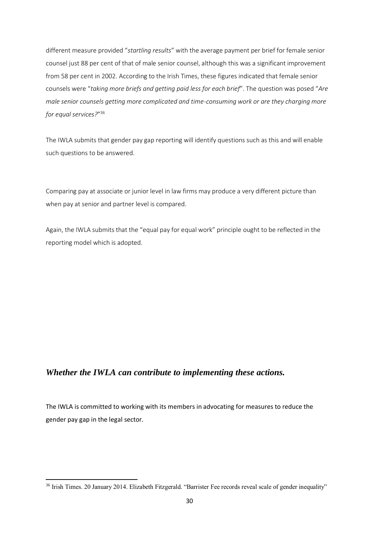different measure provided "*startling results*" with the average payment per brief for female senior counsel just 88 per cent of that of male senior counsel, although this was a significant improvement from 58 per cent in 2002. According to the Irish Times, these figures indicated that female senior counsels were "*taking more briefs and getting paid less for each brief*". The question was posed "*Are male senior counsels getting more complicated and time-consuming work or are they charging more for equal services?*" 36

The IWLA submits that gender pay gap reporting will identify questions such as this and will enable such questions to be answered.

Comparing pay at associate or junior level in law firms may produce a very different picture than when pay at senior and partner level is compared.

Again, the IWLA submits that the "equal pay for equal work" principle ought to be reflected in the reporting model which is adopted.

#### *Whether the IWLA can contribute to implementing these actions.*

-

The IWLA is committed to working with its members in advocating for measures to reduce the gender pay gap in the legal sector.

<sup>&</sup>lt;sup>36</sup> Irish Times. 20 January 2014. Elizabeth Fitzgerald. "Barrister Fee records reveal scale of gender inequality"